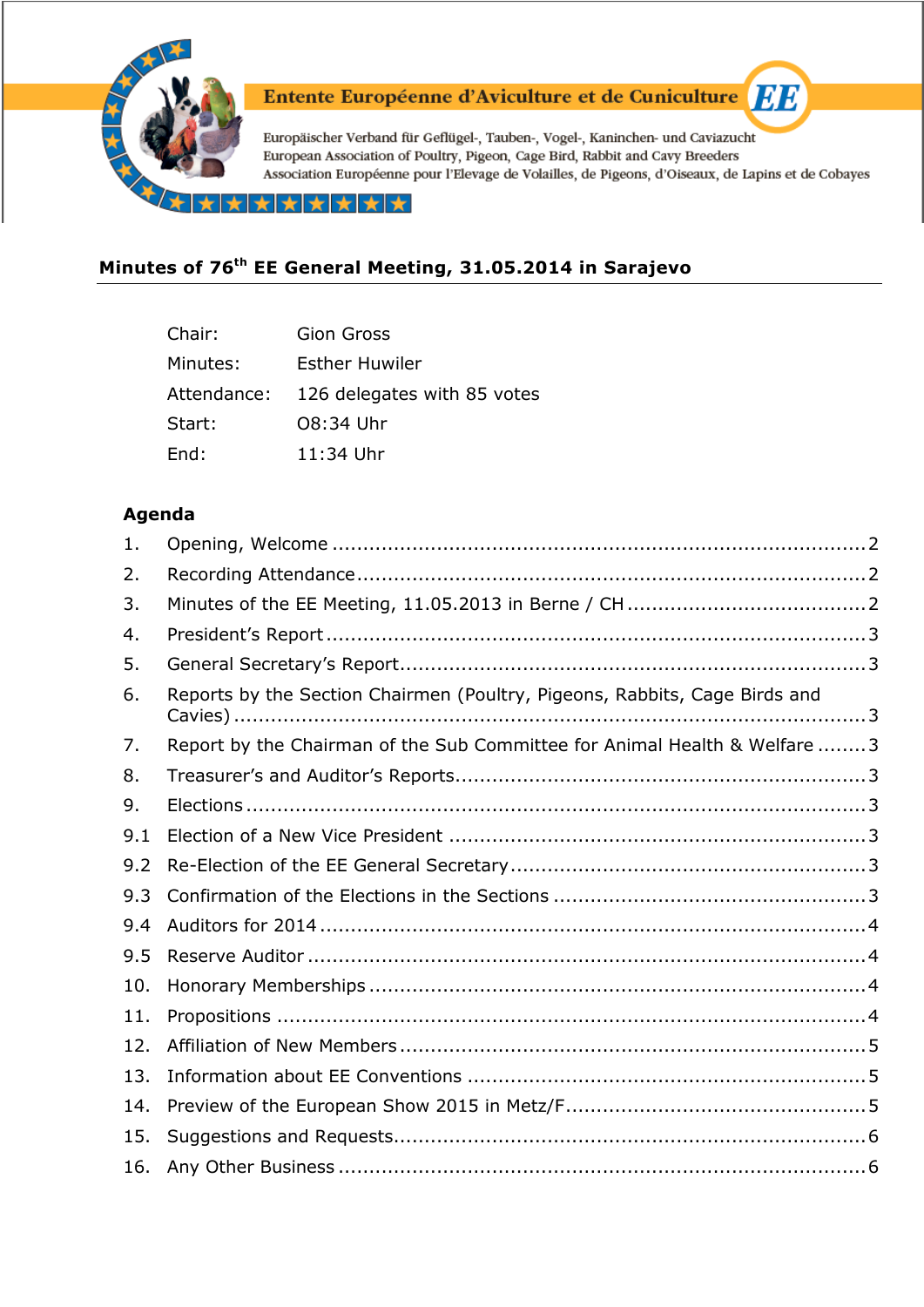

# Entente Européenne d'Aviculture et de Cuniculture

Europäischer Verband für Geflügel-, Tauben-, Vogel-, Kaninchen- und Caviazucht European Association of Poultry, Pigeon, Cage Bird, Rabbit and Cavy Breeders Association Européenne pour l'Elevage de Volailles, de Pigeons, d'Oiseaux, de Lapins et de Cobayes

\*\*\*\*\*\*\*

## **Minutes of 76th EE General Meeting, 31.05.2014 in Sarajevo**

| Chair:      | Gion Gross                  |
|-------------|-----------------------------|
| Minutes:    | Esther Huwiler              |
| Attendance: | 126 delegates with 85 votes |
| Start:      | 08:34 Uhr                   |
| End:        | 11:34 Uhr                   |

#### **Agenda**

| 1.  |                                                                            |  |
|-----|----------------------------------------------------------------------------|--|
| 2.  |                                                                            |  |
| 3.  |                                                                            |  |
| 4.  |                                                                            |  |
| 5.  |                                                                            |  |
| 6.  | Reports by the Section Chairmen (Poultry, Pigeons, Rabbits, Cage Birds and |  |
| 7.  | Report by the Chairman of the Sub Committee for Animal Health & Welfare 3  |  |
| 8.  |                                                                            |  |
| 9.  |                                                                            |  |
| 9.1 |                                                                            |  |
| 9.2 |                                                                            |  |
| 9.3 |                                                                            |  |
| 9.4 |                                                                            |  |
| 9.5 |                                                                            |  |
| 10. |                                                                            |  |
| 11. |                                                                            |  |
| 12. |                                                                            |  |
| 13. |                                                                            |  |
| 14. |                                                                            |  |
| 15. |                                                                            |  |
| 16. |                                                                            |  |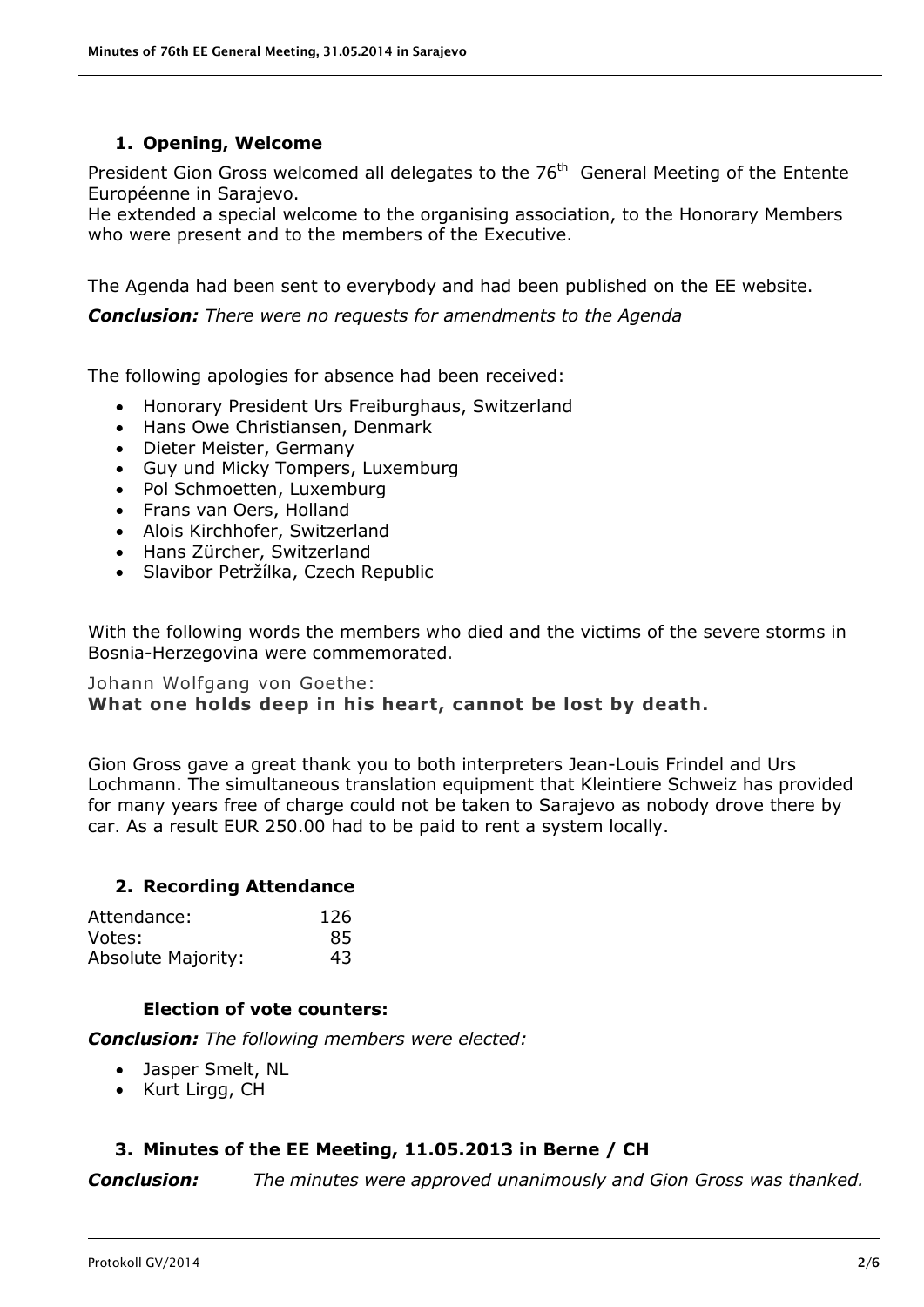#### **1. Opening, Welcome**

<span id="page-1-0"></span>President Gion Gross welcomed all delegates to the 76<sup>th</sup> General Meeting of the Entente Européenne in Sarajevo.

He extended a special welcome to the organising association, to the Honorary Members who were present and to the members of the Executive.

The Agenda had been sent to everybody and had been published on the EE website.

*Conclusion: There were no requests for amendments to the Agenda*

The following apologies for absence had been received:

- Honorary President Urs Freiburghaus, Switzerland
- Hans Owe Christiansen, Denmark
- Dieter Meister, Germany
- Guy und Micky Tompers, Luxemburg
- Pol Schmoetten, Luxemburg
- Frans van Oers, Holland
- Alois Kirchhofer, Switzerland
- Hans Zürcher, Switzerland
- Slavibor Petržílka, Czech Republic

With the following words the members who died and the victims of the severe storms in Bosnia-Herzegovina were commemorated.

#### Johann Wolfgang von Goethe: **What one holds deep in his heart, cannot be lost by death.**

Gion Gross gave a great thank you to both interpreters Jean-Louis Frindel and Urs Lochmann. The simultaneous translation equipment that Kleintiere Schweiz has provided for many years free of charge could not be taken to Sarajevo as nobody drove there by car. As a result EUR 250.00 had to be paid to rent a system locally.

#### <span id="page-1-1"></span>**2. Recording Attendance**

| Attendance:               | 126 |
|---------------------------|-----|
| Votes:                    | 85  |
| <b>Absolute Majority:</b> | 43  |

#### **Election of vote counters:**

*Conclusion: The following members were elected:*

- Jasper Smelt, NL
- Kurt Lirgg, CH

### <span id="page-1-2"></span>**3. Minutes of the EE Meeting, 11.05.2013 in Berne / CH**

*Conclusion: The minutes were approved unanimously and Gion Gross was thanked.*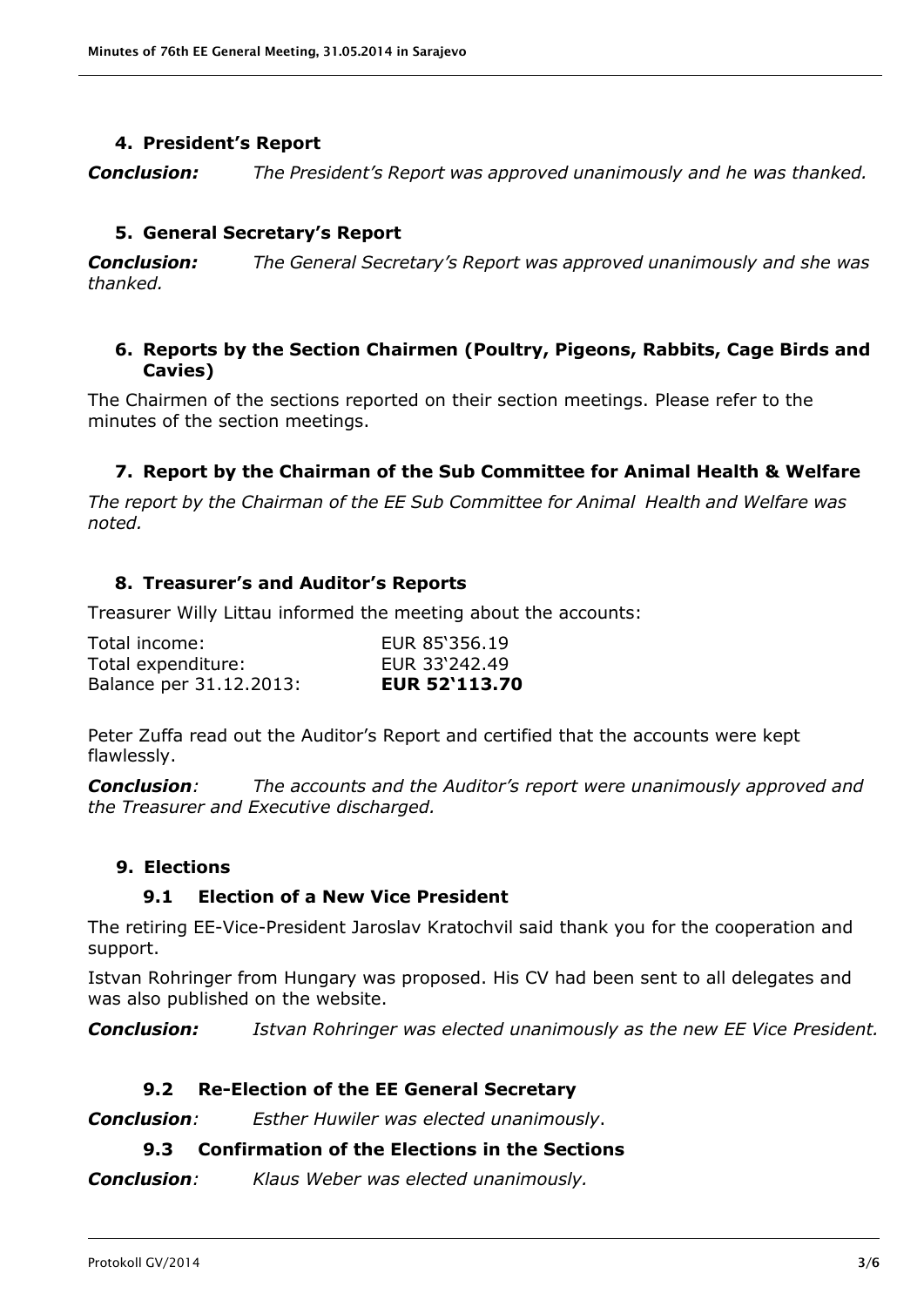#### **4. President's Report**

<span id="page-2-0"></span>*Conclusion: The President's Report was approved unanimously and he was thanked.*

#### **5. General Secretary's Report**

<span id="page-2-1"></span>*Conclusion: The General Secretary's Report was approved unanimously and she was thanked.*

#### <span id="page-2-2"></span>**6. Reports by the Section Chairmen (Poultry, Pigeons, Rabbits, Cage Birds and Cavies)**

The Chairmen of the sections reported on their section meetings. Please refer to the minutes of the section meetings.

#### **7. Report by the Chairman of the Sub Committee for Animal Health & Welfare**

<span id="page-2-3"></span>*The report by the Chairman of the EE Sub Committee for Animal Health and Welfare was noted.*

#### <span id="page-2-4"></span>**8. Treasurer's and Auditor's Reports**

Treasurer Willy Littau informed the meeting about the accounts:

| Total income:           | EUR 85'356.19        |
|-------------------------|----------------------|
| Total expenditure:      | EUR 33'242.49        |
| Balance per 31.12.2013: | <b>EUR 52'113.70</b> |

Peter Zuffa read out the Auditor's Report and certified that the accounts were kept flawlessly.

*Conclusion: The accounts and the Auditor's report were unanimously approved and the Treasurer and Executive discharged.*

#### <span id="page-2-5"></span>**9. Elections**

#### **9.1 Election of a New Vice President**

<span id="page-2-6"></span>The retiring EE-Vice-President Jaroslav Kratochvil said thank you for the cooperation and support.

Istvan Rohringer from Hungary was proposed. His CV had been sent to all delegates and was also published on the website.

*Conclusion: Istvan Rohringer was elected unanimously as the new EE Vice President.*

#### **9.2 Re-Election of the EE General Secretary**

<span id="page-2-8"></span><span id="page-2-7"></span>*Conclusion: Esther Huwiler was elected unanimously*.

#### **9.3 Confirmation of the Elections in the Sections**

*Conclusion: Klaus Weber was elected unanimously.*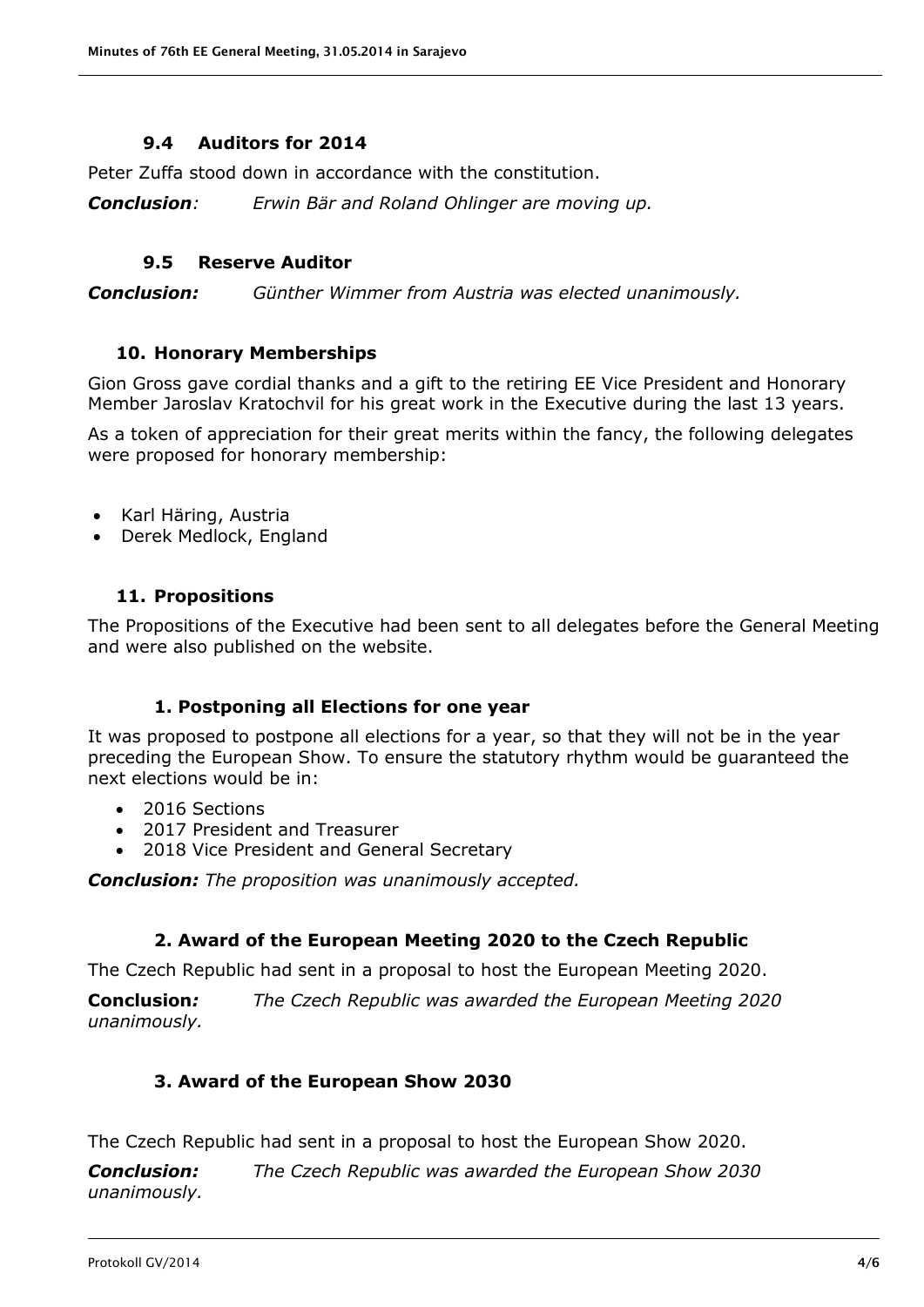#### **9.4 Auditors for 2014**

<span id="page-3-0"></span>Peter Zuffa stood down in accordance with the constitution.

*Conclusion: Erwin Bär and Roland Ohlinger are moving up.*

#### **9.5 Reserve Auditor**

<span id="page-3-1"></span>*Conclusion: Günther Wimmer from Austria was elected unanimously.*

#### **10. Honorary Memberships**

<span id="page-3-2"></span>Gion Gross gave cordial thanks and a gift to the retiring EE Vice President and Honorary Member Jaroslav Kratochvil for his great work in the Executive during the last 13 years.

As a token of appreciation for their great merits within the fancy, the following delegates were proposed for honorary membership:

- Karl Häring, Austria
- Derek Medlock, England

#### **11. Propositions**

<span id="page-3-3"></span>The Propositions of the Executive had been sent to all delegates before the General Meeting and were also published on the website.

#### **1. Postponing all Elections for one year**

It was proposed to postpone all elections for a year, so that they will not be in the year preceding the European Show. To ensure the statutory rhythm would be guaranteed the next elections would be in:

- 2016 Sections
- 2017 President and Treasurer
- 2018 Vice President and General Secretary

*Conclusion: The proposition was unanimously accepted.* 

#### **2. Award of the European Meeting 2020 to the Czech Republic**

The Czech Republic had sent in a proposal to host the European Meeting 2020.

**Conclusion***: The Czech Republic was awarded the European Meeting 2020 unanimously.*

#### **3. Award of the European Show 2030**

The Czech Republic had sent in a proposal to host the European Show 2020.

*Conclusion: The Czech Republic was awarded the European Show 2030 unanimously.*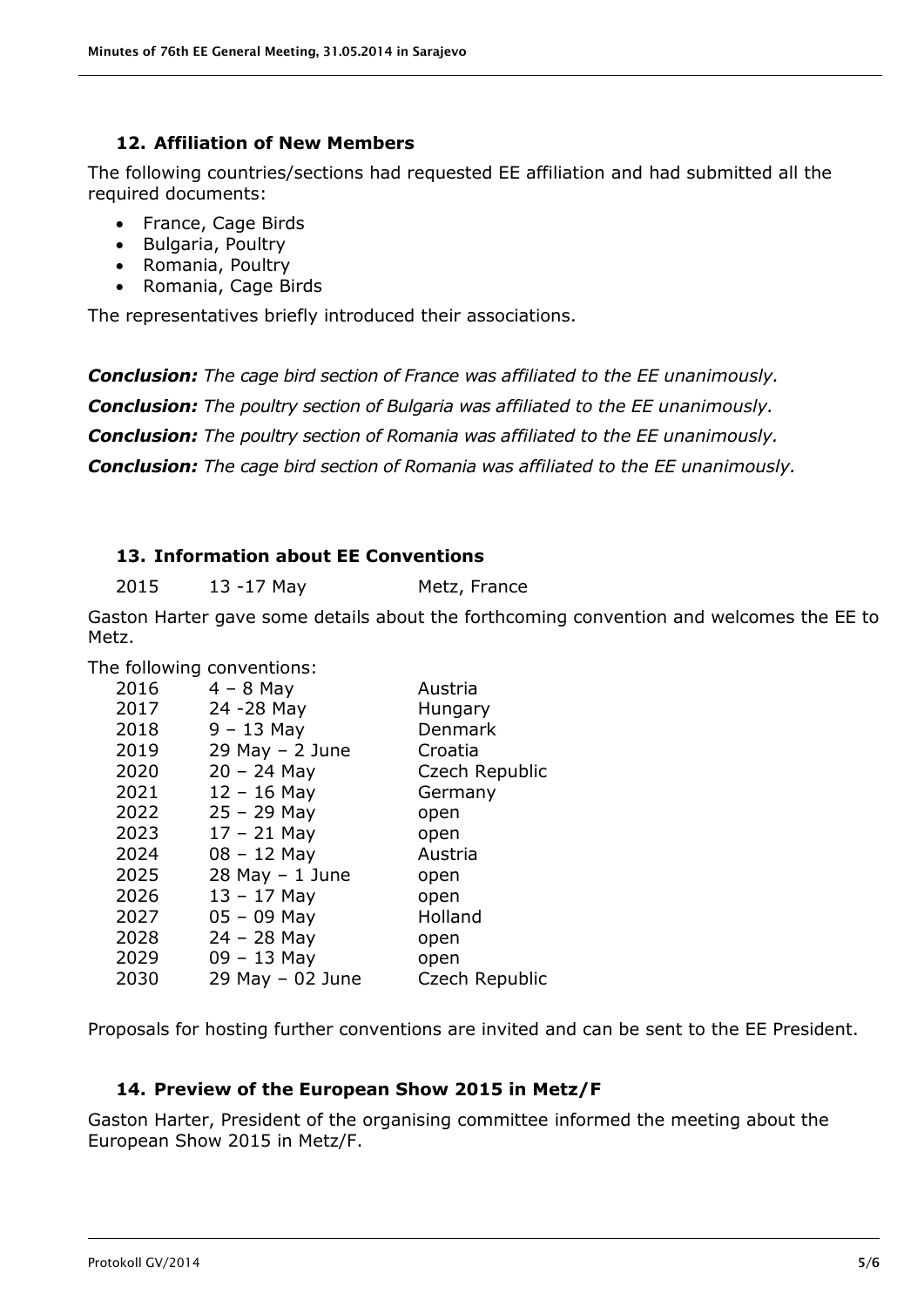#### **12. Affiliation of New Members**

<span id="page-4-0"></span>The following countries/sections had requested EE affiliation and had submitted all the required documents:

- France, Cage Birds
- Bulgaria, Poultry
- Romania, Poultry
- Romania, Cage Birds

The representatives briefly introduced their associations.

*Conclusion: The cage bird section of France was affiliated to the EE unanimously. Conclusion: The poultry section of Bulgaria was affiliated to the EE unanimously. Conclusion: The poultry section of Romania was affiliated to the EE unanimously. Conclusion: The cage bird section of Romania was affiliated to the EE unanimously.*

### <span id="page-4-1"></span>**13. Information about EE Conventions**

2015 13 -17 May Metz, France

Gaston Harter gave some details about the forthcoming convention and welcomes the EE to Metz.

The following conventions:

| 2016 | $4 - 8$ May          | Austria        |
|------|----------------------|----------------|
| 2017 | 24 - 28 May          | Hungary        |
| 2018 | $9 - 13$ May         | Denmark        |
| 2019 | $29$ May $- 2$ June  | Croatia        |
| 2020 | $20 - 24$ May        | Czech Republic |
| 2021 | $12 - 16$ May        | Germany        |
| 2022 | $25 - 29$ May        | open           |
| 2023 | $17 - 21$ May        | open           |
| 2024 | $08 - 12$ May        | Austria        |
| 2025 | $28$ May $-1$ June   | open           |
| 2026 | $13 - 17$ May        | open           |
| 2027 | $05 - 09$ May        | Holland        |
| 2028 | $24 - 28$ May        | open           |
| 2029 | $09 - 13$ May        | open           |
| 2030 | $29$ May $-$ 02 June | Czech Republic |
|      |                      |                |

Proposals for hosting further conventions are invited and can be sent to the EE President.

#### **14. Preview of the European Show 2015 in Metz/F**

<span id="page-4-2"></span>Gaston Harter, President of the organising committee informed the meeting about the European Show 2015 in Metz/F.